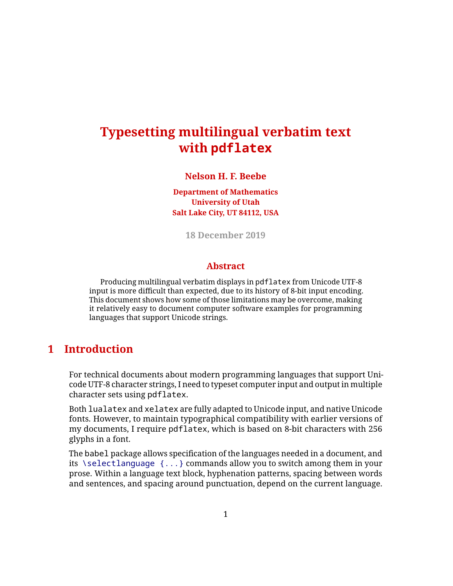# **Typesetting multilingual verbatim text with pdflatex**

#### **Nelson H. F. Beebe**

**Department of Mathematics University of Utah Salt Lake City, UT 84112, USA**

**18 December 2019**

#### **Abstract**

Producing multilingual verbatim displays in pdflatex from Unicode UTF-8 input is more difficult than expected, due to its history of 8-bit input encoding. This document shows how some of those limitations may be overcome, making it relatively easy to document computer software examples for programming languages that support Unicode strings.

### **1 Introduction**

For technical documents about modern programming languages that support Unicode UTF-8 character strings, I need to typeset computer input and output in multiple character sets using pdflatex.

Both lualatex and xelatex are fully adapted to Unicode input, and native Unicode fonts. However, to maintain typographical compatibility with earlier versions of my documents, I require pdflatex, which is based on 8-bit characters with 256 glyphs in a font.

The babel package allows specification of the languages needed in a document, and its \selectlanguage {...} commands allow you to switch among them in your prose. Within a language text block, hyphenation patterns, spacing between words and sentences, and spacing around punctuation, depend on the current language.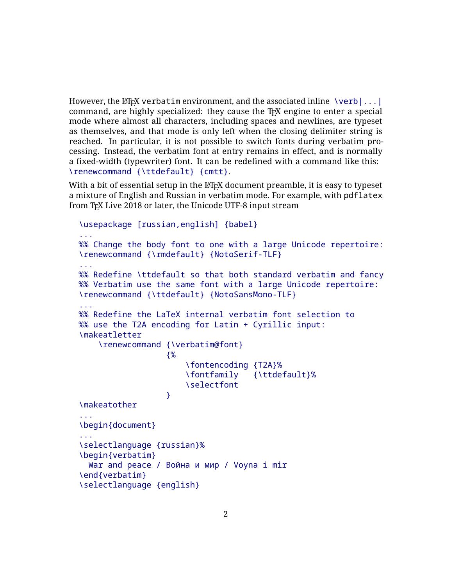However, the LAT<sub>E</sub>X verbatim environment, and the associated inline  $\vert \text{verb}|...|$ command, are highly specialized: they cause the T<sub>F</sub>X engine to enter a special mode where almost all characters, including spaces and newlines, are typeset as themselves, and that mode is only left when the closing delimiter string is reached. In particular, it is not possible to switch fonts during verbatim processing. Instead, the verbatim font at entry remains in effect, and is normally a fixed-width (typewriter) font. It can be redefined with a command like this: \renewcommand {\ttdefault} {cmtt}.

With a bit of essential setup in the  $\mathbb{E} T_F X$  document preamble, it is easy to typeset a mixture of English and Russian in verbatim mode. For example, with pdflatex from T<sub>F</sub>X Live 2018 or later, the Unicode UTF-8 input stream

```
\usepackage [russian,english] {babel}
...
%% Change the body font to one with a large Unicode repertoire:
\renewcommand {\rmdefault} {NotoSerif-TLF}
...
%% Redefine \ttdefault so that both standard verbatim and fancy
%% Verbatim use the same font with a large Unicode repertoire:
\renewcommand {\ttdefault} {NotoSansMono-TLF}
...
%% Redefine the LaTeX internal verbatim font selection to
%% use the T2A encoding for Latin + Cyrillic input:
\makeatletter
    \renewcommand {\verbatim@font}
                  {%
                      \fontencoding {T2A}%
                      \fontfamily {\ttdefault}%
                      \selectfont
                  }
\makeatother
...
\begin{document}
...
\selectlanguage {russian}%
\begin{verbatim}
 War and peace / Война и мир / Voyna i mir
\end{verbatim}
\selectlanguage {english}
```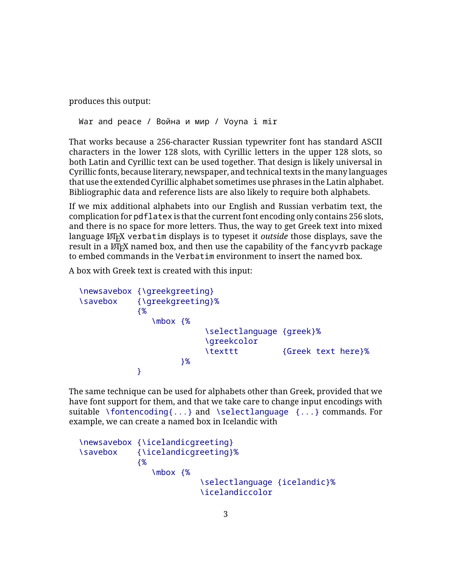produces this output:

War and peace / Война и мир / Voyna i mir

That works because a 256-character Russian typewriter font has standard ASCII characters in the lower 128 slots, with Cyrillic letters in the upper 128 slots, so both Latin and Cyrillic text can be used together. That design is likely universal in Cyrillic fonts, because literary, newspaper, and technical texts in the many languages that use the extended Cyrillic alphabet sometimes use phrases in the Latin alphabet. Bibliographic data and reference lists are also likely to require both alphabets.

If we mix additional alphabets into our English and Russian verbatim text, the complication for pdflatex is that the current font encoding only contains 256 slots, and there is no space for more letters. Thus, the way to get Greek text into mixed language LATEX verbatim displays is to typeset it *outside* those displays, save the result in a LAT<sub>EX</sub> named box, and then use the capability of the fancyvrb package to embed commands in the Verbatim environment to insert the named box.

A box with Greek text is created with this input:

```
\newsavebox {\greekgreeting}
\savebox {\greekgreeting}%
           {%
              \mbox {%
                         \selectlanguage {greek}%
                        \greekcolor
                        \texttt {Greek text here}%
                    }%
           }
```
The same technique can be used for alphabets other than Greek, provided that we have font support for them, and that we take care to change input encodings with suitable \fontencoding{...} and \selectlanguage {...} commands. For example, we can create a named box in Icelandic with

```
\newsavebox {\icelandicgreeting}
\savebox {\icelandicgreeting}%
            {%
               \mbox {%
                         \selectlanguage {icelandic}%
                         \icelandiccolor
```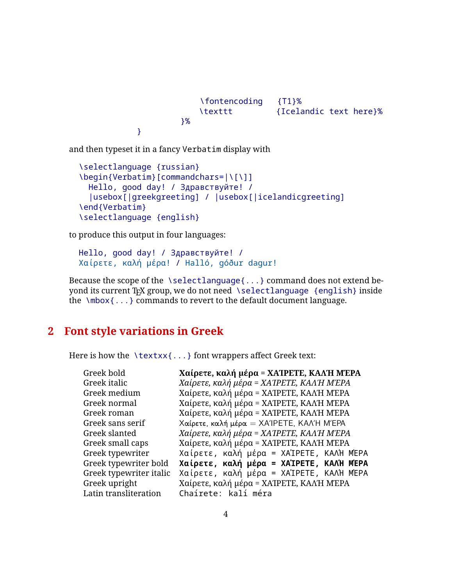```
\fontencoding {T1}%
   \texttt {Icelandic text here}%
}%
```
and then typeset it in a fancy Verbatim display with

```
\selectlanguage {russian}
\begin{Verbatim}[commandchars=|\Upsilon\|]
 Hello, good day! / Здравствуйте! /
  |usebox[|greekgreeting] / |usebox[|icelandicgreeting]
\end{Verbatim}
\selectlanguage {english}
```
to produce this output in four languages:

}

```
Hello, good day! / Здравствуйте! /
Χαίρετε, καλή µέρα! / Halló, góður dagur!
```
Because the scope of the \selectlanguage{...} command does not extend beyond its current T<sub>F</sub>X group, we do not need \selectlanguage {english} inside the  $\mbox{mbox}$ ...} commands to revert to the default document language.

## **2 Font style variations in Greek**

Here is how the  $\text{text}$ ...} font wrappers affect Greek text:

| Greek bold              | Χαίρετε, καλή μέρα = ΧΑΊΡΕΤΕ, ΚΑΛΉ ΜΈΡΑ |
|-------------------------|-----------------------------------------|
| Greek italic            | Χαίρετε, καλή μέρα = ΧΑΤΡΕΤΕ, ΚΑΛΉ ΜΈΡΑ |
| Greek medium            | Χαίρετε, καλή μέρα = ΧΑΊΡΕΤΕ, ΚΑΛΉ ΜΈΡΑ |
| Greek normal            | Χαίρετε, καλή μέρα = ΧΑΊΡΕΤΕ, ΚΑΛΉ ΜΈΡΑ |
| Greek roman             | Χαίρετε, καλή μέρα = ΧΑΊΡΕΤΕ, ΚΑΛΉ ΜΈΡΑ |
| Greek sans serif        | Χαίρετε, καλή μέρα = ΧΑΊΡΕΤΕ, ΚΑΛΉ ΜΈΡΑ |
| Greek slanted           | Χαίρετε, καλή μέρα = ΧΑΊΡΕΤΕ, ΚΑΛΉ ΜΈΡΑ |
| Greek small caps        | Χαίρετε, καλή μέρα = ΧΑΊΡΕΤΕ, ΚΑΛΉ ΜΈΡΑ |
| Greek typewriter        | Χαίρετε, καλή μέρα = ΧΑΊΡΕΤΕ, ΚΑΛΉ ΜΈΡΑ |
| Greek typewriter bold   | Χαίρετε, καλή μέρα = ΧΑΊΡΕΤΕ, ΚΑΛΉ ΜΈΡΑ |
| Greek typewriter italic | Χαίρετε, καλή μέρα = ΧΑΊΡΕΤΕ, ΚΑΛΉ ΜΈΡΑ |
| Greek upright           | Χαίρετε, καλή μέρα = ΧΑΊΡΕΤΕ, ΚΑΛΉ ΜΈΡΑ |
| Latin transliteration   | Chaírete: kalí méra                     |
|                         |                                         |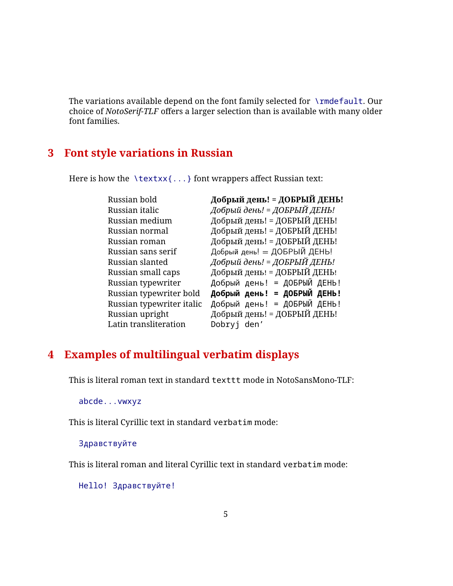The variations available depend on the font family selected for \rmdefault. Our choice of *NotoSerif-TLF* offers a larger selection than is available with many older font families.

## **3 Font style variations in Russian**

Here is how the  $\text{text}$ ...} font wrappers affect Russian text:

| Russian bold              | Добрый день! = ДОБРЫЙ ДЕНЬ! |
|---------------------------|-----------------------------|
| Russian italic            | Добрый день! = ДОБРЫЙ ДЕНЬ! |
| Russian medium            | Добрый день! = ДОБРЫЙ ДЕНЬ! |
| Russian normal            | Добрый день! = ДОБРЫЙ ДЕНЬ! |
| Russian roman             | Добрый день! = ДОБРЫЙ ДЕНЬ! |
| Russian sans serif        | Добрый день! = ДОБРЫЙ ДЕНЬ! |
| Russian slanted           | Добрый день! = ДОБРЫЙ ДЕНЬ! |
| Russian small caps        | Добрый день! = ДОБРЫЙ ДЕНЬ! |
| Russian typewriter        | Добрый день! = ДОБРЫЙ ДЕНЬ! |
| Russian typewriter bold   | Добрый день! = ДОБРЫЙ ДЕНЬ! |
| Russian typewriter italic | Добрый день! = ДОБРЫЙ ДЕНЬ! |
| Russian upright           | Добрый день! = ДОБРЫЙ ДЕНЬ! |
| Latin transliteration     | Dobryj den'                 |

# **4 Examples of multilingual verbatim displays**

This is literal roman text in standard texttt mode in NotoSansMono-TLF:

abcde...vwxyz

This is literal Cyrillic text in standard verbatim mode:

Здравствуйте

This is literal roman and literal Cyrillic text in standard verbatim mode:

Hello! Здравствуйте!